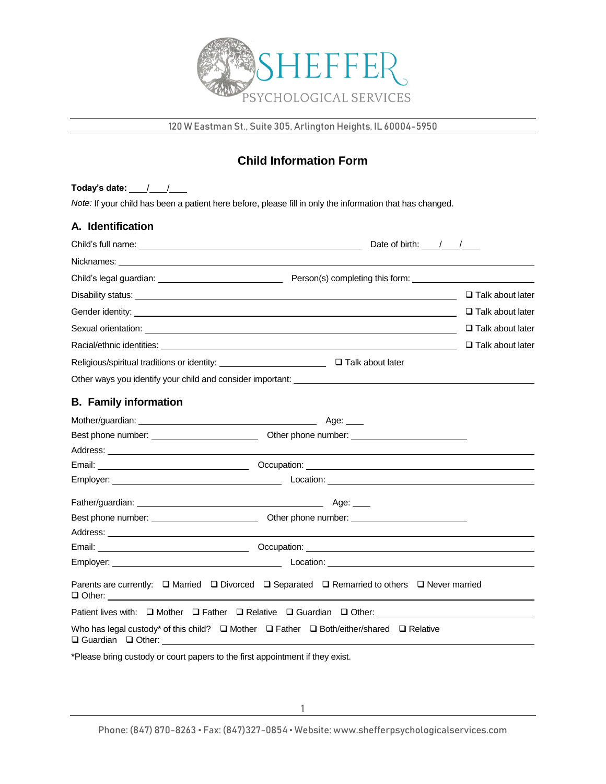

120 W Eastman St., Suite 305, Arlington Heights, IL 60004-5950

# **Child Information Form**

Today's date:  $\frac{1}{\sqrt{2}}$ *Note:* If your child has been a patient here before, please fill in only the information that has changed.

| A. Identification             |                                                                                                                                                                                                                                      |                                                 |
|-------------------------------|--------------------------------------------------------------------------------------------------------------------------------------------------------------------------------------------------------------------------------------|-------------------------------------------------|
|                               |                                                                                                                                                                                                                                      | Date of birth: $\frac{1}{\sqrt{1-\frac{1}{2}}}$ |
|                               |                                                                                                                                                                                                                                      |                                                 |
|                               | Child's legal guardian: <u>example and control of person</u> (s) completing this form:                                                                                                                                               |                                                 |
|                               |                                                                                                                                                                                                                                      | $\Box$ Talk about later                         |
|                               |                                                                                                                                                                                                                                      | $\Box$ Talk about later                         |
|                               |                                                                                                                                                                                                                                      | $\Box$ Talk about later                         |
|                               |                                                                                                                                                                                                                                      | $\Box$ Talk about later                         |
|                               |                                                                                                                                                                                                                                      |                                                 |
|                               |                                                                                                                                                                                                                                      |                                                 |
| <b>B.</b> Family information  |                                                                                                                                                                                                                                      |                                                 |
|                               |                                                                                                                                                                                                                                      |                                                 |
|                               |                                                                                                                                                                                                                                      |                                                 |
|                               |                                                                                                                                                                                                                                      |                                                 |
|                               |                                                                                                                                                                                                                                      |                                                 |
|                               |                                                                                                                                                                                                                                      |                                                 |
|                               |                                                                                                                                                                                                                                      |                                                 |
|                               |                                                                                                                                                                                                                                      |                                                 |
|                               |                                                                                                                                                                                                                                      |                                                 |
|                               |                                                                                                                                                                                                                                      |                                                 |
|                               | Location: <u>Constantino and Constantino and Constantino and Constantino and Constantino and Constantino and Constantino and Constantino and Constantino and Constantino and Constantino and Constantino and Constantino and Con</u> |                                                 |
|                               | Parents are currently: $\Box$ Married $\Box$ Divorced $\Box$ Separated $\Box$ Remarried to others $\Box$ Never married                                                                                                               |                                                 |
|                               |                                                                                                                                                                                                                                      |                                                 |
| $\Box$ Guardian $\Box$ Other: | Who has legal custody* of this child? $\Box$ Mother $\Box$ Father $\Box$ Both/either/shared $\Box$ Relative                                                                                                                          |                                                 |

\*Please bring custody or court papers to the first appointment if they exist.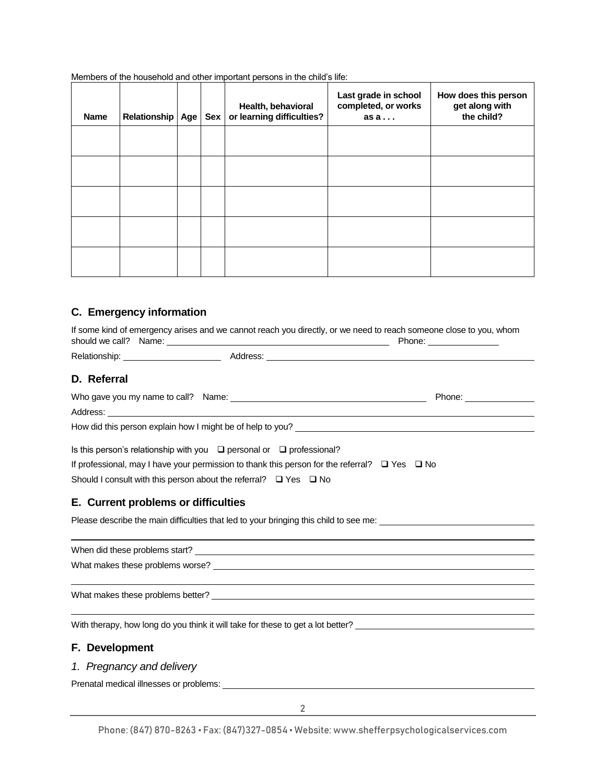Members of the household and other important persons in the child's life:

| <b>Name</b> | Relationship | Age | <b>Sex</b> | Health, behavioral<br>or learning difficulties? | Last grade in school<br>completed, or works<br>as a | How does this person<br>get along with<br>the child? |
|-------------|--------------|-----|------------|-------------------------------------------------|-----------------------------------------------------|------------------------------------------------------|
|             |              |     |            |                                                 |                                                     |                                                      |
|             |              |     |            |                                                 |                                                     |                                                      |
|             |              |     |            |                                                 |                                                     |                                                      |
|             |              |     |            |                                                 |                                                     |                                                      |
|             |              |     |            |                                                 |                                                     |                                                      |

# **C. Emergency information**

|                                     |                                                                                                                                                                                                                                                                         | If some kind of emergency arises and we cannot reach you directly, or we need to reach someone close to you, whom<br>Phone: ________________                                                                                   |
|-------------------------------------|-------------------------------------------------------------------------------------------------------------------------------------------------------------------------------------------------------------------------------------------------------------------------|--------------------------------------------------------------------------------------------------------------------------------------------------------------------------------------------------------------------------------|
|                                     |                                                                                                                                                                                                                                                                         |                                                                                                                                                                                                                                |
| D. Referral                         |                                                                                                                                                                                                                                                                         |                                                                                                                                                                                                                                |
|                                     | Address: Note that the contract of the contract of the contract of the contract of the contract of the contract of the contract of the contract of the contract of the contract of the contract of the contract of the contrac                                          |                                                                                                                                                                                                                                |
|                                     |                                                                                                                                                                                                                                                                         | How did this person explain how I might be of help to you? Letter that the state of the state of the state of the state of the state of the state of the state of the state of the state of the state of the state of the stat |
| E. Current problems or difficulties | Is this person's relationship with you $\Box$ personal or $\Box$ professional?<br>If professional, may I have your permission to thank this person for the referral? $\Box$ Yes $\Box$ No<br>Should I consult with this person about the referral? $\Box$ Yes $\Box$ No | Please describe the main difficulties that led to your bringing this child to see me: ________________________                                                                                                                 |
|                                     |                                                                                                                                                                                                                                                                         |                                                                                                                                                                                                                                |
|                                     |                                                                                                                                                                                                                                                                         |                                                                                                                                                                                                                                |
|                                     |                                                                                                                                                                                                                                                                         |                                                                                                                                                                                                                                |
|                                     |                                                                                                                                                                                                                                                                         | With therapy, how long do you think it will take for these to get a lot better?                                                                                                                                                |
| F. Development                      |                                                                                                                                                                                                                                                                         |                                                                                                                                                                                                                                |

### *1. Pregnancy and delivery*

Prenatal medical illnesses or problems: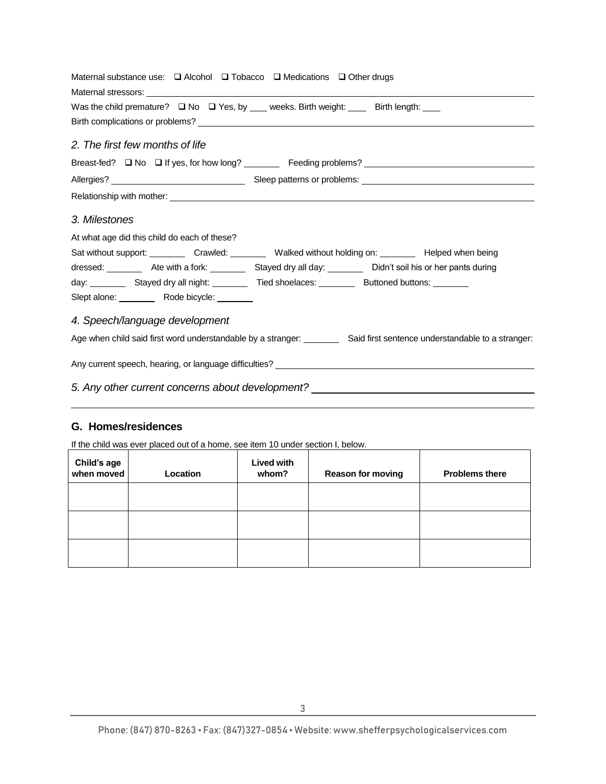| Maternal substance use: $\Box$ Alcohol $\Box$ Tobacco $\Box$ Medications $\Box$ Other drugs                              |
|--------------------------------------------------------------------------------------------------------------------------|
|                                                                                                                          |
| Was the child premature? $\Box$ No $\Box$ Yes, by ___ weeks. Birth weight: ____ Birth length: ___                        |
|                                                                                                                          |
| 2. The first few months of life                                                                                          |
| Breast-fed? □ No □ If yes, for how long? _________ Feeding problems? ______________________________                      |
|                                                                                                                          |
|                                                                                                                          |
| 3. Milestones<br>At what age did this child do each of these?                                                            |
| Sat without support: ___________ Crawled: ___________ Walked without holding on: __________ Helped when being            |
| dressed: ___________ Ate with a fork: ___________ Stayed dry all day: __________ Didn't soil his or her pants during     |
| day: ___________ Stayed dry all night: ____________ Tied shoelaces: ____________ Buttoned buttons: _________             |
| Slept alone: __________ Rode bicycle: _______                                                                            |
| 4. Speech/language development                                                                                           |
| Age when child said first word understandable by a stranger: _________ Said first sentence understandable to a stranger: |
|                                                                                                                          |
| 5. Any other current concerns about development? _______________________________                                         |

# **G. Homes/residences**

If the child was ever placed out of a home, see item 10 under section I, below.

| Child's age<br>when moved | Location | Lived with<br>whom? | Reason for moving | <b>Problems there</b> |
|---------------------------|----------|---------------------|-------------------|-----------------------|
|                           |          |                     |                   |                       |
|                           |          |                     |                   |                       |
|                           |          |                     |                   |                       |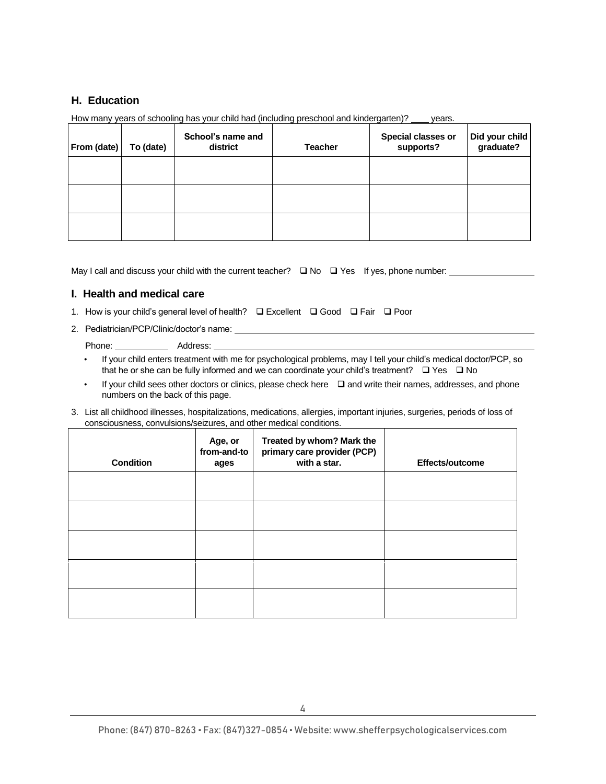# **H. Education**

| From (date) | To (date) | School's name and<br>district | <b>Teacher</b> | Special classes or<br>supports? | Did your child<br>graduate? |
|-------------|-----------|-------------------------------|----------------|---------------------------------|-----------------------------|
|             |           |                               |                |                                 |                             |
|             |           |                               |                |                                 |                             |
|             |           |                               |                |                                 |                             |

How many years of schooling has your child had (including preschool and kindergarten)? \_\_\_\_ years.

May I call and discuss your child with the current teacher?  $\Box$  No  $\Box$  Yes If yes, phone number:  $\Box$ 

# **I. Health and medical care**

- 1. How is your child's general level of health? **Excellent Excellent Excellent Excellent Excellent Excellent Excellent Excellent Excellent Excellent Excellent Excellent Excellent Exc**
- 2. Pediatrician/PCP/Clinic/doctor's name:

Phone: Address:

- If your child enters treatment with me for psychological problems, may I tell your child's medical doctor/PCP, so that he or she can be fully informed and we can coordinate your child's treatment?  $\Box$  Yes  $\Box$  No
- $\cdot$  If your child sees other doctors or clinics, please check here  $\Box$  and write their names, addresses, and phone numbers on the back of this page.
- 3. List all childhood illnesses, hospitalizations, medications, allergies, important injuries, surgeries, periods of loss of consciousness, convulsions/seizures, and other medical conditions.

| <b>Condition</b> | Age, or<br>from-and-to<br>ages | Treated by whom? Mark the<br>primary care provider (PCP)<br>with a star. | <b>Effects/outcome</b> |
|------------------|--------------------------------|--------------------------------------------------------------------------|------------------------|
|                  |                                |                                                                          |                        |
|                  |                                |                                                                          |                        |
|                  |                                |                                                                          |                        |
|                  |                                |                                                                          |                        |
|                  |                                |                                                                          |                        |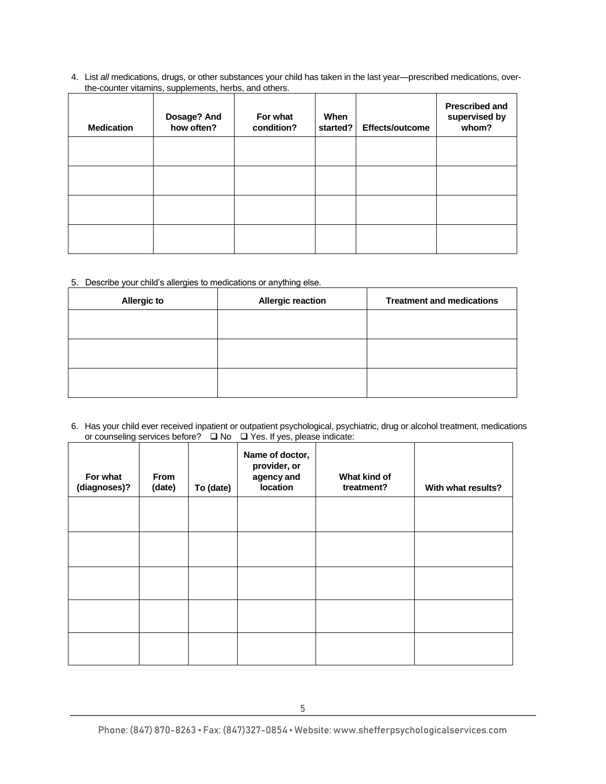4. List *all* medications, drugs, or other substances your child has taken in the last year—prescribed medications, overthe-counter vitamins, supplements, herbs, and others.

| <b>Medication</b> | Dosage? And<br>how often? | For what<br>condition? | When<br>started? | Effects/outcome | <b>Prescribed and</b><br>supervised by<br>whom? |
|-------------------|---------------------------|------------------------|------------------|-----------------|-------------------------------------------------|
|                   |                           |                        |                  |                 |                                                 |
|                   |                           |                        |                  |                 |                                                 |
|                   |                           |                        |                  |                 |                                                 |
|                   |                           |                        |                  |                 |                                                 |

### 5. Describe your child's allergies to medications or anything else.

| <b>Allergic to</b> | <b>Allergic reaction</b> | <b>Treatment and medications</b> |
|--------------------|--------------------------|----------------------------------|
|                    |                          |                                  |
|                    |                          |                                  |
|                    |                          |                                  |
|                    |                          |                                  |

6. Has your child ever received inpatient or outpatient psychological, psychiatric, drug or alcohol treatment, medications or counseling services before?  $\Box$  No  $\Box$  Yes. If yes, please indicate:

| For what<br>(diagnoses)? | From<br>(date) | To (date) | Name of doctor,<br>provider, or<br>agency and<br>location | What kind of<br>treatment? | With what results? |
|--------------------------|----------------|-----------|-----------------------------------------------------------|----------------------------|--------------------|
|                          |                |           |                                                           |                            |                    |
|                          |                |           |                                                           |                            |                    |
|                          |                |           |                                                           |                            |                    |
|                          |                |           |                                                           |                            |                    |
|                          |                |           |                                                           |                            |                    |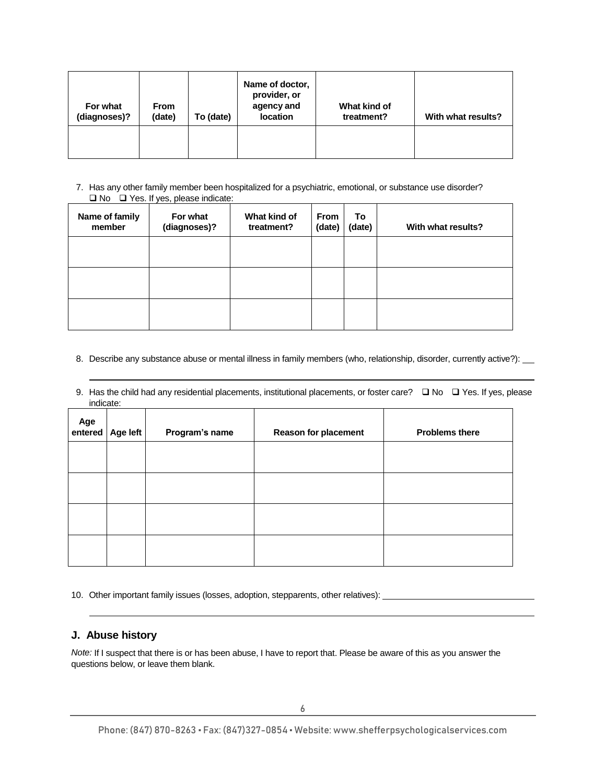| For what<br>(diagnoses)? | <b>From</b><br>(date) | To (date) | Name of doctor,<br>provider, or<br>agency and<br>location | What kind of<br>treatment? | With what results? |
|--------------------------|-----------------------|-----------|-----------------------------------------------------------|----------------------------|--------------------|
|                          |                       |           |                                                           |                            |                    |

7. Has any other family member been hospitalized for a psychiatric, emotional, or substance use disorder? □ No □ Yes. If yes, please indicate:

| Name of family<br>member | For what<br>(diagnoses)? | What kind of<br>treatment? | <b>From</b><br>(date) | To<br>(date) | With what results? |
|--------------------------|--------------------------|----------------------------|-----------------------|--------------|--------------------|
|                          |                          |                            |                       |              |                    |
|                          |                          |                            |                       |              |                    |
|                          |                          |                            |                       |              |                    |

- 8. Describe any substance abuse or mental illness in family members (who, relationship, disorder, currently active?):
- 9. Has the child had any residential placements, institutional placements, or foster care?  $\Box$  No  $\Box$  Yes. If yes, please indicate:

| Age<br>entered | Age left | Program's name | <b>Reason for placement</b> | <b>Problems there</b> |
|----------------|----------|----------------|-----------------------------|-----------------------|
|                |          |                |                             |                       |
|                |          |                |                             |                       |
|                |          |                |                             |                       |
|                |          |                |                             |                       |

10. Other important family issues (losses, adoption, stepparents, other relatives):

# **J. Abuse history**

*Note:* If I suspect that there is or has been abuse, I have to report that. Please be aware of this as you answer the questions below, or leave them blank.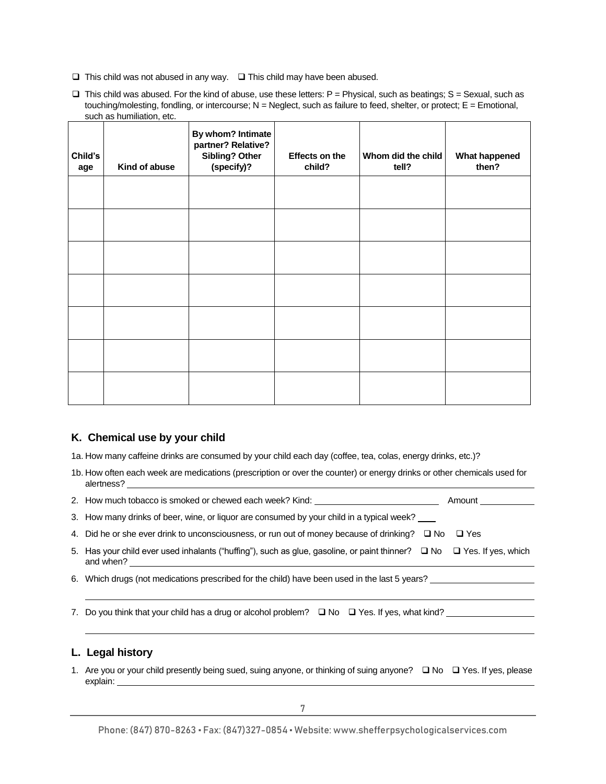$\Box$  This child was not abused in any way.  $\Box$  This child may have been abused.

 $\Box$  This child was abused. For the kind of abuse, use these letters: P = Physical, such as beatings; S = Sexual, such as touching/molesting, fondling, or intercourse;  $N = N$  eqlect, such as failure to feed, shelter, or protect;  $E = E$  motional, such as humiliation, etc.

| Child's<br>age | Kind of abuse | By whom? Intimate<br>partner? Relative?<br>Sibling? Other<br>(specify)? | Effects on the<br>child? | Whom did the child<br>tell? | What happened<br>then? |
|----------------|---------------|-------------------------------------------------------------------------|--------------------------|-----------------------------|------------------------|
|                |               |                                                                         |                          |                             |                        |
|                |               |                                                                         |                          |                             |                        |
|                |               |                                                                         |                          |                             |                        |
|                |               |                                                                         |                          |                             |                        |
|                |               |                                                                         |                          |                             |                        |
|                |               |                                                                         |                          |                             |                        |
|                |               |                                                                         |                          |                             |                        |

#### **K. Chemical use by your child**

1a. How many caffeine drinks are consumed by your child each day (coffee, tea, colas, energy drinks, etc.)?

1b. How often each week are medications (prescription or over the counter) or energy drinks or other chemicals used for alertness?

2. How much tobacco is smoked or chewed each week? Kind: \_ \_ \_ \_ \_ \_ \_ \_ \_ \_ \_ \_ \_ \_ \_ \_ \_ Amount \_

3. How many drinks of beer, wine, or liquor are consumed by your child in a typical week?

4. Did he or she ever drink to unconsciousness, or run out of money because of drinking?  $\Box$  No  $\Box$  Yes

- 5. Has your child ever used inhalants ("huffing"), such as glue, gasoline, or paint thinner?  $\Box$  No  $\Box$  Yes. If yes, which and when?
- 6. Which drugs (not medications prescribed for the child) have been used in the last 5 years?
- 7. Do you think that your child has a drug or alcohol problem?  $\square$  No  $\square$  Yes. If yes, what kind?

# **L. Legal history**

1. Are you or your child presently being sued, suing anyone, or thinking of suing anyone?  $\Box$  No  $\Box$  Yes. If yes, please explain: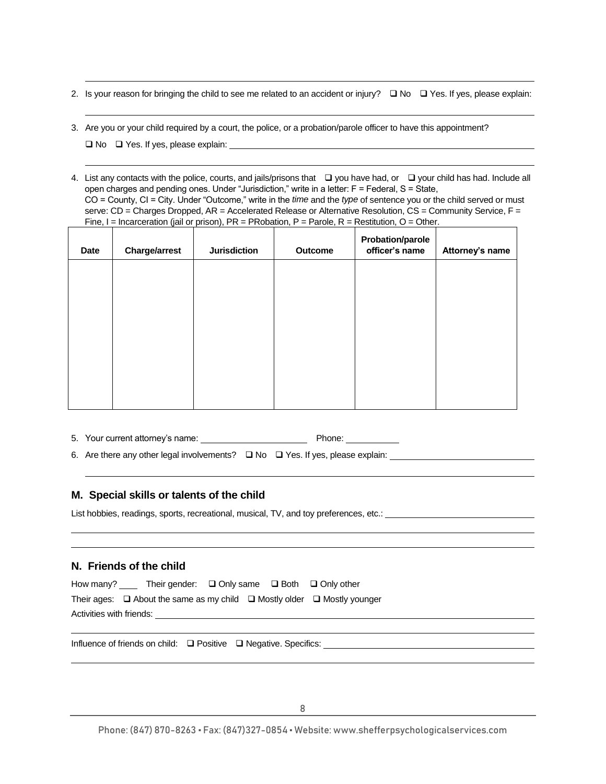- 2. Is your reason for bringing the child to see me related to an accident or injury?  $\Box$  No  $\Box$  Yes. If yes, please explain:
- 3. Are you or your child required by a court, the police, or a probation/parole officer to have this appointment?

No Yes. If yes, please explain:

4. List any contacts with the police, courts, and jails/prisons that  $\Box$  you have had, or  $\Box$  your child has had. Include all open charges and pending ones. Under "Jurisdiction," write in a letter: F = Federal, S = State, CO = County, CI = City. Under "Outcome," write in the *time* and the *type* of sentence you or the child served or must serve: CD = Charges Dropped, AR = Accelerated Release or Alternative Resolution, CS = Community Service, F = Fine,  $I = Incacreation (jail or prison), PR = PRObation, P = Parole, R = Restritation, O = Other.$ 

| Date | <b>Charge/arrest</b> | <b>Jurisdiction</b> | <b>Outcome</b> | <b>Probation/parole</b><br>officer's name | Attorney's name |
|------|----------------------|---------------------|----------------|-------------------------------------------|-----------------|
|      |                      |                     |                |                                           |                 |
|      |                      |                     |                |                                           |                 |
|      |                      |                     |                |                                           |                 |
|      |                      |                     |                |                                           |                 |
|      |                      |                     |                |                                           |                 |

5. Your current attorney's name: Phone:

6. Are there any other legal involvements? No Yes. If yes, please explain:

### **M. Special skills or talents of the child**

List hobbies, readings, sports, recreational, musical, TV, and toy preferences, etc.:

# **N. Friends of the child**

| How many?                | Their gender: $\Box$ Only same $\Box$ Both $\Box$ Only other                            |  |  |  |  |
|--------------------------|-----------------------------------------------------------------------------------------|--|--|--|--|
|                          | Their ages: $\Box$ About the same as my child $\Box$ Mostly older $\Box$ Mostly younger |  |  |  |  |
| Activities with friends: |                                                                                         |  |  |  |  |

Influence of friends on child: □ Positive □ Negative. Specifics: \_\_\_\_\_\_\_\_\_\_\_\_\_\_\_